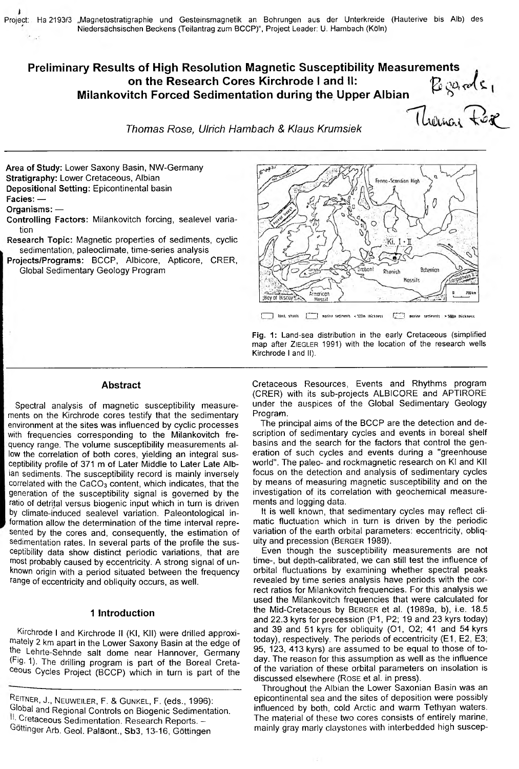# Preliminary Results of High Resolution Magnetic Susceptibility Measurements Boarde,<br>Thomas Fer on the Research Cores Kirchrode I and II: Milankovitch Forced Sedimentation during the Upper Albian

Thomas Rose, Ulrich Hambach & Klaus Krumsiek

Area of Study: Lower Saxony Basin, NW-Germany Stratigraphy: Lower Cretaceous, Albian Depositional Setting: Epicontinental basin

Facies: -

Organisms: -

- Controlling Factors: Milankovitch forcing, sealevel variation
- Research Topic: Magnetic properties of sediments, cyclic sedimentation, paleoclimate, time-series analysis
- Projects/Programs: BCCP, Albicore, Apticore, CRER, Global Sedimentary Geology Program



I land, shools [ ] marine seciments < 500m Ihickness [ ] marine seciments > 500m Ihickness

Fig. 1: Land-sea distribution in the early Cretaceous (simplified map after ZIEGLER 1991) with the location of the research wells Kirchrode I and II).

#### **Abstract**

Spectral analysis of magnetic susceptibility measurements on the Kirchrode cores testify that the sedimentary environment at the sites was influenced by cyclic processes with frequencies corresponding to the Milankovitch frequency range. The volume susceptibility measurements allow the correlation of both cores, yielding an integral susceptibility profile of 371 m of Later Middle to Later Late Albian sediments. The susceptibility record is mainly inversely correlated with the CaCO<sub>3</sub> content, which indicates, that the generation of the susceptibility signal is governed by the ratio of detrital versus biogenic input which in turn is driven by climate-induced sealevel variation. Paleontological information allow the determination of the time interval represented by the cores and, consequently, the estimation of sedimentation rates. In several parts of the profile the susceptibility data show distinct periodic variations, that are most probably caused by eccentricity. A strong signal of unknown origin with a period situated between the frequency range of eccentricity and obliquity occurs, as well.

# 1 Introduction

Kirchrode I and Kirchrode II (KI, KII) were drilled approximately 2 km apart in the Lower Saxony Basin at the edge of the Lehrte-Sehnde salt dome near Hannover, Germany (Fig. 1). The drilling program is part of the Boreal Cretaceous Cycles Project (BCCP) which in turn is part of the

Cretaceous Resources, Events and Rhythms program (CRER) with its sub-projects ALBICORE and APTIRORE under the auspices of the Global Sedimentary Geology Program.

The principal aims of the BCCP are the detection and description of sedimentary cycles and events in boreal shelf basins and the search for the factors that control the generation of such cycles and events during a "greenhouse world". The paleo- and rockmagnetic research on KI and KII focus on the detection and analysis of sedimentary cycles by means of measuring magnetic susceptibility and on the investigation of its correlation with geochemical measurements and logging data.

It is well known, that sedimentary cycles may reflect climatic fluctuation which in turn is driven by the periodic variation of the earth orbital parameters: eccentricity, obliquity and precession (BERGER 1989).

Even though the susceptibility measurements are not time-, but depth-calibrated, we can still test the influence of orbital fluctuations by examining whether spectral peaks revealed by time series analysis have periods with the correct ratios for Milankovitch frequencies. For this analysis we used the Milankovitch frequencies that were calculated for the Mid-Cretaceous by BERGER et al. (1989a, b), i.e. 18.5 and 22.3 kyrs for precession (P1, P2; 19 and 23 kyrs today) and 39 and 51 kyrs for obliquity (O1, O2; 41 and 54 kyrs today), respectively. The periods of eccentricity (E1, E2, E3; 95, 123, 413 kyrs) are assumed to be equal to those of today. The reason for this assumption as well as the influence of the variation of these orbital parameters on insolation is discussed elsewhere (Rose et al. in press).

Throughout the Albian the Lower Saxonian Basin was an epicontinental sea and the sites of deposition were possibly influenced by both, cold Arctic and warm Tethyan waters. The material of these two cores consists of entirely marine, mainly gray marly claystones with interbedded high suscep-

REITNER, J., NEUWEILER, F. & GUNKEL, F. (eds., 1996): Global and Regional Controls on Biogenic Sedimentation. 11. Cretaceous Sedimentation. Research Reports. -<sup>Göttinger Arb. Geol. Paläont., Sb3, 13-16, Göttingen</sup>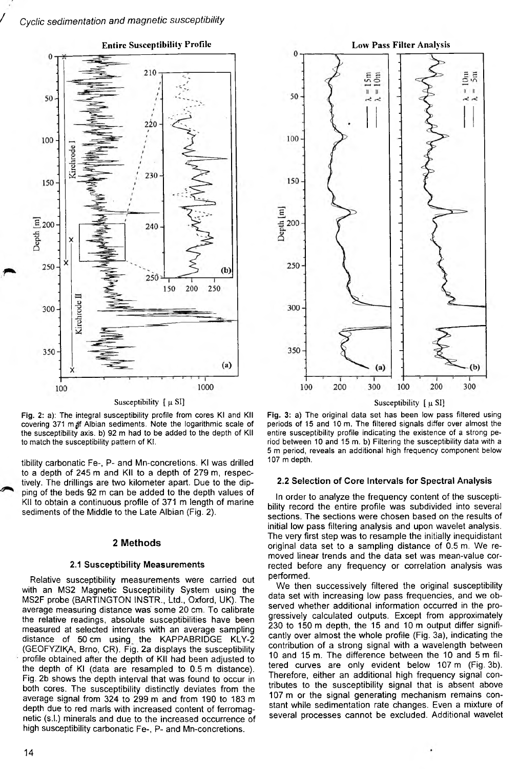

Susceptibility  $\lceil \mu S \rceil$ 

**Fig. 2: a): The integral susceptibility profile from cores Kl and Kll** covering 371 m *if* Albian sediments. Note the logarithmic scale of **the susceptibility axis, b) 92 m had to be added to the depth of Kll to match the susceptibility pattern of Kl.**

tibility carbonatic Fe-, P- and Mn-concretions. Kl was drilled to a depth of 245 m and Kll to a depth of 279 m, respectively. The drillings are two kilometer apart. Due to the dipping of the beds 92 m can be added to the depth values of Kll to obtain a continuous profile of 371 m length of marine sediments of the Middle to the Late Albian (Fig. 2).

#### **2 Methods**

## 2.1 Susceptibility Measurements

Relative susceptibility measurements were carried out with an MS2 Magnetic Susceptibility System using the MS2F probe (BARTINGTON INSTR., Ltd., Oxford, UK). The average measuring distance was' some 20 cm. To calibrate the relative readings, absolute susceptibilities have been measured at selected intervals with an average sampling distance of 50 cm using the KAPPABRIDGE KLY-2 (GEOFYZIKA, Brno, CR). Fig. 2a displays the susceptibility profile obtained after the depth of Kll had been adjusted to the depth of Kl (data are resampled to 0.5 m distance). Fig. 2b shows the depth interval that was found to occur in both cores. The susceptibility distinctly deviates from the average signal from 324 to 299 m and from 190 to 183 m depth due to red marls with increased content of ferromagnetic (s.l.) minerals and due to the increased occurrence of high susceptibility carbonatic Fe-, P- and Mn-concretions.



Susceptibility  $\lceil \mu S \rceil$ 

**Fig. 3: a) The original data set has been low pass filtered using periods of 15 and 10 m. The filtered signals differ over almost the entire susceptibility profile indicating the existence of a strong period between 10 and 15 m. b) Filtering the susceptibility data with a 5 m period, reveals an additional high frequency component below 107 m depth.**

#### 2.2 Selection of Core Intervals for Spectral Analysis

In order to analyze the frequency content of the susceptibility record the entire profile was subdivided into several sections. The sections were chosen based on the results of initial low pass filtering analysis and upon wavelet analysis. The very first step was to resample the initially inequidistant original data set to a sampling distance of 0.5 m. We removed linear trends and the data set was mean-value corrected before any frequency or correlation analysis was performed.

We then successively filtered the original susceptibility data set with increasing low pass frequencies, and we observed whether additional information occurred in the progressively calculated outputs. Except from approximately 230 to 150 m depth, the 15 and 10 m output differ significantly over almost the whole profile (Fig. 3a), indicating the contribution of a strong signal with a wavelength between 10 and 15 m. The difference between the 10 and 5 m filtered curves are only evident below 107 m (Fig. 3b). Therefore, either an additional high frequency signal contributes to the susceptibility signal that is absent above 107 m or the signal generating mechanism remains constant while sedimentation rate changes. Even a mixture of several processes cannot be excluded. Additional wavelet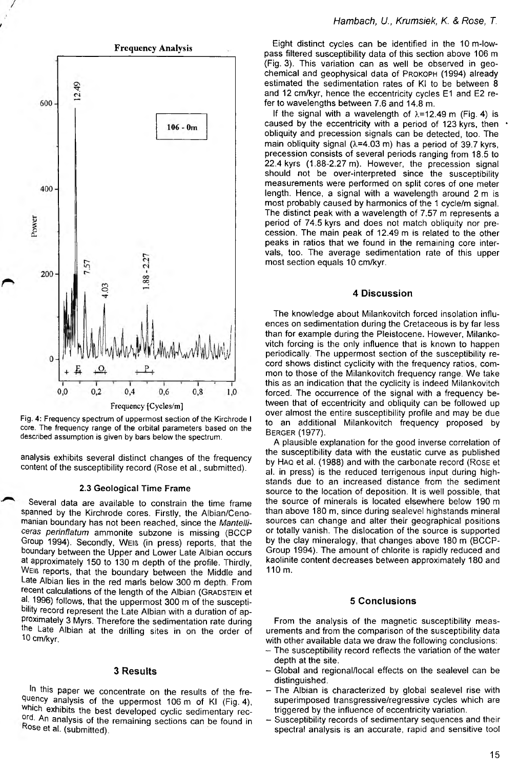



analysis exhibits several distinct changes of the frequency content of the susceptibility record (Rose et al., submitted).

## 2.3 Geological Time Frame

Several data are available to constrain the time frame spanned by the Kirchrode cores. Firstly, the Albian/Cenomanian boundary has not been reached, since the *Mantelliceras perinflatum* ammonite subzone is missing (BCCP Group 1994). Secondly, Weib (in press) reports, that the boundary between the Upper and Lower Late Albian occurs at approximately 150 to 130 m depth of the profile. Thirdly, WEIG reports, that the boundary between the Middle and Late Albian lies in the red marls below 300 m depth. From recent calculations of the length of the Albian (GRADSTEIN et al. 1996) follows, that the uppermost 300 m of the susceptibility record represent the Late Albian with a duration of approximately 3 Myrs. Therefore the sedimentation rate during the Late Albian at the drilling sites in on the order of Ю cm/kyr.

#### **3 Results**

In this paper we concentrate on the results of the frequency analysis of the uppermost 106 m of Kl (Fig. 4), which exhibits the best developed cyclic sedimentary record. An analysis of the remaining sections can be found in Rose et al. (submitted).

Eight distinct cycles can be identified in the 10m-lowpass filtered susceptibility data of this section above 106 m (Fig. 3). This variation can as well be observed in geochemical and geophysical data of PROKOPH (1994) already estimated the sedimentation rates of Kl to be between 8 and 12 cm/kyr, hence the eccentricity cycles E1 and E2 refer to wavelengths between 7.6 and 14.8 m.

If the signal with a wavelength of  $\lambda$ =12.49 m (Fig. 4) is caused by the eccentricity with a period of 123 kyrs, then obliquity and precession signals can be detected, too. The main obliquity signal  $(\lambda=4.03 \text{ m})$  has a period of 39.7 kyrs, precession consists of several periods ranging from 18.5 to 22.4 kyrs (1.88-2.27 m). However, the precession signal should not be over-interpreted since the susceptibility measurements were performed on split cores of one meter length. Hence, a signal with a wavelength around 2 m is most probably caused by harmonics of the 1 cycle/m signal. The distinct peak with a wavelength of 7.57 m represents a period of 74.5 kyrs and does not match obliquity nor precession. The main peak of 12.49 m is related to the other peaks in ratios that we found in the remaining core intervals, too. The average sedimentation rate of this upper most section equals 10 cm/kyr.

# **4 Discussion**

The knowledge about Milankovitch forced insolation influences on sedimentation during the Cretaceous is by far less than for example during the Pleistocene. However, Milankovitch forcing is the only influence that is known to happen periodically. The uppermost section of the susceptibility record shows distinct cyclicity with the frequency ratios, common to those of the Milankovitch frequency range. We take this as an indication that the cyclicity is indeed Milankovitch forced. The occurrence of the signal with a frequency between that of eccentricity and obliquity can be followed up over almost the entire susceptibility profile and may be due to an additional Milankovitch frequency proposed by **BERGER (1977).** 

A plausible explanation for the good inverse correlation of the susceptibility data with the eustatic curve as published by HAQ et al. (1988) and with the carbonate record (Rose et al. in press) is the reduced terrigenous input during highstands due to an increased distance from the sediment source to the location of deposition. It is well possible, that the source of minerals is located elsewhere below 190 m than above 180 m, since during sealevel highstands mineral sources can change and alter their geographical positions or totally vanish. The dislocation of the source is supported by the clay mineralogy, that changes above 180 m (BCCP-Group 1994). The amount of chlorite is rapidly reduced and kaolinite content decreases between approximately 180 and 110m.

## **5 Conclusions**

From the analysis of the magnetic susceptibility measurements and from the comparison of the susceptibility data with other available data we draw the following conclusions:

- The susceptibility record reflects the variation of the water depth at the site.
- Global and regional/local effects on the sealevel can be distinguished.
- The Albian is characterized by global sealevel rise with superimposed transgressive/regressive cycles which are triggered by the influence of eccentricity variation.
- Susceptibility records of sedimentary sequences and their spectral analysis is an accurate, rapid and sensitive tool